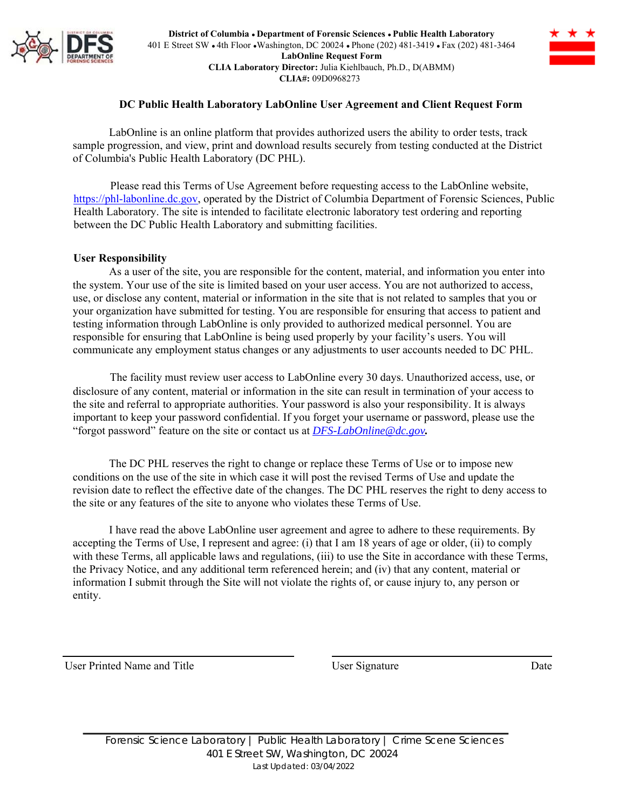

**District of Columbia ● Department of Forensic Sciences ● Public Health Laboratory** 401 E Street SW ● 4th Floor ●Washington, DC 20024 ● Phone (202) 481-3419 ● Fax (202) 481-3464 **LabOnline Request Form CLIA Laboratory Director:** Julia Kiehlbauch, Ph.D., D(ABMM) **CLIA#:** 09D0968273



## **DC Public Health Laboratory LabOnline User Agreement and Client Request Form**

LabOnline is an online platform that provides authorized users the ability to order tests, track sample progression, and view, print and download results securely from testing conducted at the District of Columbia's Public Health Laboratory (DC PHL).

Please read this Terms of Use Agreement before requesting access to the LabOnline website, https://phl-labonline.dc.gov, operated by the District of Columbia Department of Forensic Sciences, Public Health Laboratory. The site is intended to facilitate electronic laboratory test ordering and reporting between the DC Public Health Laboratory and submitting facilities.

## **User Responsibility**

As a user of the site, you are responsible for the content, material, and information you enter into the system. Your use of the site is limited based on your user access. You are not authorized to access, use, or disclose any content, material or information in the site that is not related to samples that you or your organization have submitted for testing. You are responsible for ensuring that access to patient and testing information through LabOnline is only provided to authorized medical personnel. You are responsible for ensuring that LabOnline is being used properly by your facility's users. You will communicate any employment status changes or any adjustments to user accounts needed to DC PHL.

The facility must review user access to LabOnline every 30 days. Unauthorized access, use, or disclosure of any content, material or information in the site can result in termination of your access to the site and referral to appropriate authorities. Your password is also your responsibility. It is always important to keep your password confidential. If you forget your username or password, please use the "forgot password" feature on the site or contact us at *DFS-LabOnline@dc.gov.*

The DC PHL reserves the right to change or replace these Terms of Use or to impose new conditions on the use of the site in which case it will post the revised Terms of Use and update the revision date to reflect the effective date of the changes. The DC PHL reserves the right to deny access to the site or any features of the site to anyone who violates these Terms of Use.

I have read the above LabOnline user agreement and agree to adhere to these requirements. By accepting the Terms of Use, I represent and agree: (i) that I am 18 years of age or older, (ii) to comply with these Terms, all applicable laws and regulations, (iii) to use the Site in accordance with these Terms, the Privacy Notice, and any additional term referenced herein; and (iv) that any content, material or information I submit through the Site will not violate the rights of, or cause injury to, any person or entity.

User Printed Name and Title **User Signature** Date **Date** Date